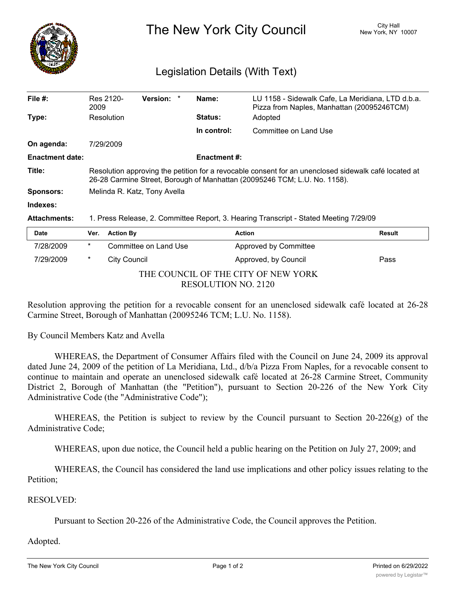

The New York City Council New York, NY 10007

## Legislation Details (With Text)

| File #:                | Res 2120-<br>2009                                                                                                                                                                 | <b>Version:</b> |  | Name:          | LU 1158 - Sidewalk Cafe, La Meridiana, LTD d.b.a.<br>Pizza from Naples, Manhattan (20095246TCM) |  |  |  |
|------------------------|-----------------------------------------------------------------------------------------------------------------------------------------------------------------------------------|-----------------|--|----------------|-------------------------------------------------------------------------------------------------|--|--|--|
| Type:                  | Resolution                                                                                                                                                                        |                 |  | <b>Status:</b> | Adopted                                                                                         |  |  |  |
|                        |                                                                                                                                                                                   |                 |  | In control:    | Committee on Land Use                                                                           |  |  |  |
| On agenda:             | 7/29/2009                                                                                                                                                                         |                 |  |                |                                                                                                 |  |  |  |
| <b>Enactment date:</b> | <b>Enactment #:</b>                                                                                                                                                               |                 |  |                |                                                                                                 |  |  |  |
| Title:                 | Resolution approving the petition for a revocable consent for an unenclosed sidewalk café located at<br>26-28 Carmine Street, Borough of Manhattan (20095246 TCM; L.U. No. 1158). |                 |  |                |                                                                                                 |  |  |  |
| <b>Sponsors:</b>       | Melinda R. Katz, Tony Avella                                                                                                                                                      |                 |  |                |                                                                                                 |  |  |  |
| Indexes:               |                                                                                                                                                                                   |                 |  |                |                                                                                                 |  |  |  |
| <b>Attachments:</b>    | 1. Press Release, 2. Committee Report, 3. Hearing Transcript - Stated Meeting 7/29/09                                                                                             |                 |  |                |                                                                                                 |  |  |  |
| <b>Date</b>            | <b>Action By</b><br>Ver.                                                                                                                                                          |                 |  |                | <b>Action</b><br><b>Result</b>                                                                  |  |  |  |

| Date                                |              | <b>Ver.</b> Action by | ACTION                | <b>Result</b> |  |  |  |  |
|-------------------------------------|--------------|-----------------------|-----------------------|---------------|--|--|--|--|
| 7/28/2009                           | *            | Committee on Land Use | Approved by Committee |               |  |  |  |  |
| 7/29/2009                           | City Council |                       | Approved, by Council  | Pass          |  |  |  |  |
| THE COUNCIL OF THE CITY OF NEW YORK |              |                       |                       |               |  |  |  |  |
| <b>RESOLUTION NO. 2120</b>          |              |                       |                       |               |  |  |  |  |

Resolution approving the petition for a revocable consent for an unenclosed sidewalk café located at 26-28 Carmine Street, Borough of Manhattan (20095246 TCM; L.U. No. 1158).

By Council Members Katz and Avella

WHEREAS, the Department of Consumer Affairs filed with the Council on June 24, 2009 its approval dated June 24, 2009 of the petition of La Meridiana, Ltd., d/b/a Pizza From Naples, for a revocable consent to continue to maintain and operate an unenclosed sidewalk café located at 26-28 Carmine Street, Community District 2, Borough of Manhattan (the "Petition"), pursuant to Section 20-226 of the New York City Administrative Code (the "Administrative Code");

WHEREAS, the Petition is subject to review by the Council pursuant to Section 20-226(g) of the Administrative Code;

WHEREAS, upon due notice, the Council held a public hearing on the Petition on July 27, 2009; and

WHEREAS, the Council has considered the land use implications and other policy issues relating to the Petition;

## RESOLVED:

Pursuant to Section 20-226 of the Administrative Code, the Council approves the Petition.

## Adopted.